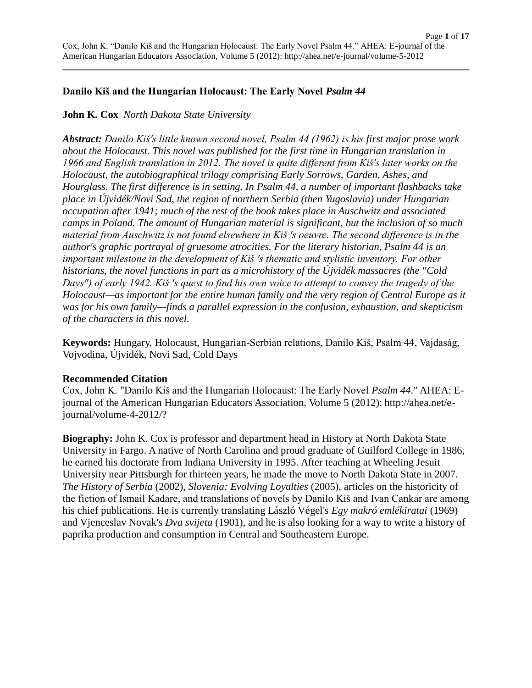# **Danilo Kiš and the Hungarian Holocaust: The Early Novel** *Psalm 44*

# **John K. Cox** *North Dakota State University*

*Abstract: Danilo Kiš's little known second novel, Psalm 44 (1962) is his first major prose work about the Holocaust. This novel was published for the first time in Hungarian translation in 1966 and English translation in 2012. The novel is quite different from Kiš's later works on the Holocaust, the autobiographical trilogy comprising Early Sorrows, Garden, Ashes, and Hourglass. The first difference is in setting. In Psalm 44, a number of important flashbacks take place in Újvidék/Novi Sad, the region of northern Serbia (then Yugoslavia) under Hungarian occupation after 1941; much of the rest of the book takes place in Auschwitz and associated camps in Poland. The amount of Hungarian material is significant, but the inclusion of so much material from Auschwitz is not found elsewhere in Kiš 's oeuvre. The second difference is in the author's graphic portrayal of gruesome atrocities. For the literary historian, Psalm 44 is an important milestone in the development of Kiš 's thematic and stylistic inventory. For other historians, the novel functions in part as a microhistory of the Újvidék massacres (the "Cold Days") of early 1942. Kiš 's quest to find his own voice to attempt to convey the tragedy of the Holocaust—as important for the entire human family and the very region of Central Europe as it was for his own family—finds a parallel expression in the confusion, exhaustion, and skepticism of the characters in this novel.*

**Keywords:** Hungary, Holocaust, Hungarian-Serbian relations, Danilo Kiš, Psalm 44, Vajdaság, Vojvodina, Újvidék, Novi Sad, Cold Days

### **Recommended Citation**

Cox, John K. "Danilo Kiš and the Hungarian Holocaust: The Early Novel *Psalm 44*." AHEA: Ejournal of the American Hungarian Educators Association, Volume 5 (2012): http://ahea.net/ejournal/volume-4-2012/?

**Biography:** John K. Cox is professor and department head in History at North Dakota State University in Fargo. A native of North Carolina and proud graduate of Guilford College in 1986, he earned his doctorate from Indiana University in 1995. After teaching at Wheeling Jesuit University near Pittsburgh for thirteen years, he made the move to North Dakota State in 2007. *The History of Serbia* (2002), *Slovenia: Evolving Loyalties* (2005), articles on the historicity of the fiction of Ismail Kadare, and translations of novels by Danilo Kiš and Ivan Cankar are among his chief publications. He is currently translating László Végel's *Egy makró emlékiratai* (1969) and Vjenceslav Novak's *Dva svijeta* (1901), and he is also looking for a way to write a history of paprika production and consumption in Central and Southeastern Europe.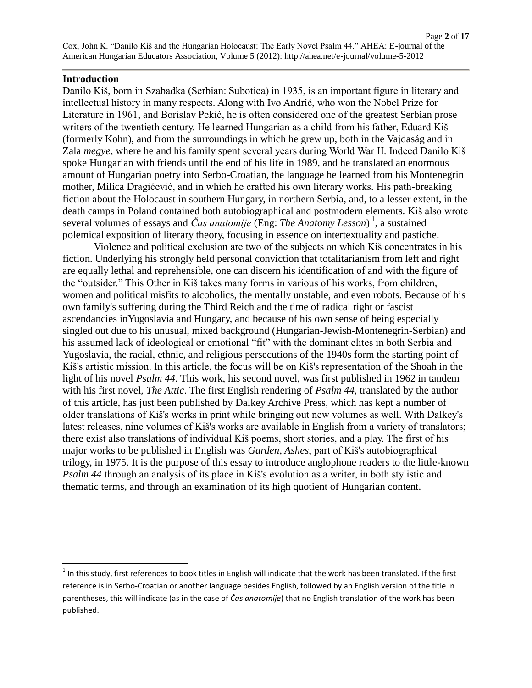### **Introduction**

Danilo Kiš, born in Szabadka (Serbian: Subotica) in 1935, is an important figure in literary and intellectual history in many respects. Along with Ivo Andrić, who won the Nobel Prize for Literature in 1961, and Borislav Pekić, he is often considered one of the greatest Serbian prose writers of the twentieth century. He learned Hungarian as a child from his father, Eduard Kiš (formerly Kohn), and from the surroundings in which he grew up, both in the Vajdaság and in Zala *megye*, where he and his family spent several years during World War II. Indeed Danilo Kiš spoke Hungarian with friends until the end of his life in 1989, and he translated an enormous amount of Hungarian poetry into Serbo-Croatian, the language he learned from his Montenegrin mother, Milica Dragićević, and in which he crafted his own literary works. His path-breaking fiction about the Holocaust in southern Hungary, in northern Serbia, and, to a lesser extent, in the death camps in Poland contained both autobiographical and postmodern elements. Kiš also wrote several volumes of essays and *Čas anatomije* (Eng: *The Anatomy Lesson*) 1 , a sustained polemical exposition of literary theory, focusing in essence on intertextuality and pastiche.

Violence and political exclusion are two of the subjects on which Kiš concentrates in his fiction. Underlying his strongly held personal conviction that totalitarianism from left and right are equally lethal and reprehensible, one can discern his identification of and with the figure of the "outsider." This Other in Kiš takes many forms in various of his works, from children, women and political misfits to alcoholics, the mentally unstable, and even robots. Because of his own family's suffering during the Third Reich and the time of radical right or fascist ascendancies inYugoslavia and Hungary, and because of his own sense of being especially singled out due to his unusual, mixed background (Hungarian-Jewish-Montenegrin-Serbian) and his assumed lack of ideological or emotional "fit" with the dominant elites in both Serbia and Yugoslavia, the racial, ethnic, and religious persecutions of the 1940s form the starting point of Kiš's artistic mission. In this article, the focus will be on Kiš's representation of the Shoah in the light of his novel *Psalm 44*. This work, his second novel, was first published in 1962 in tandem with his first novel, *The Attic*. The first English rendering of *Psalm 44*, translated by the author of this article, has just been published by Dalkey Archive Press, which has kept a number of older translations of Kiš's works in print while bringing out new volumes as well. With Dalkey's latest releases, nine volumes of Kiš's works are available in English from a variety of translators; there exist also translations of individual Kiš poems, short stories, and a play. The first of his major works to be published in English was *Garden, Ashes*, part of Kiš's autobiographical trilogy, in 1975. It is the purpose of this essay to introduce anglophone readers to the little-known *Psalm 44* through an analysis of its place in Kiš's evolution as a writer, in both stylistic and thematic terms, and through an examination of its high quotient of Hungarian content.

<sup>1&</sup>lt;br>In this study, first references to book titles in English will indicate that the work has been translated. If the first reference is in Serbo-Croatian or another language besides English, followed by an English version of the title in parentheses, this will indicate (as in the case of *Čas anatomije*) that no English translation of the work has been published.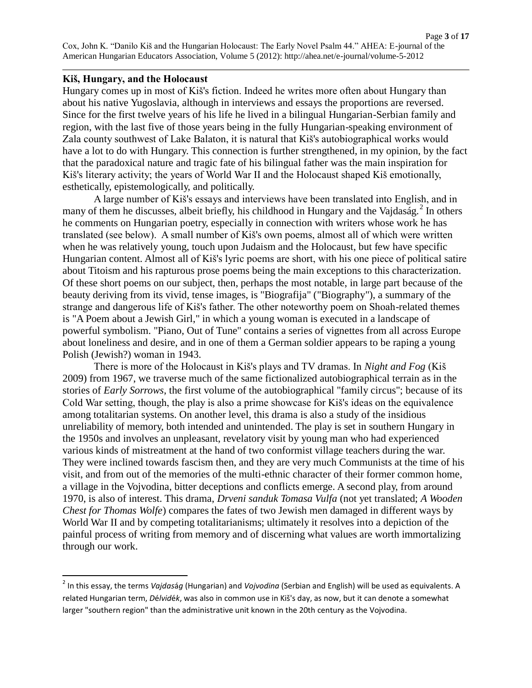#### **Kiš, Hungary, and the Holocaust**

 $\overline{a}$ 

Hungary comes up in most of Kiš's fiction. Indeed he writes more often about Hungary than about his native Yugoslavia, although in interviews and essays the proportions are reversed. Since for the first twelve years of his life he lived in a bilingual Hungarian-Serbian family and region, with the last five of those years being in the fully Hungarian-speaking environment of Zala county southwest of Lake Balaton, it is natural that Kiš's autobiographical works would have a lot to do with Hungary. This connection is further strengthened, in my opinion, by the fact that the paradoxical nature and tragic fate of his bilingual father was the main inspiration for Kiš's literary activity; the years of World War II and the Holocaust shaped Kiš emotionally, esthetically, epistemologically, and politically.

A large number of Kiš's essays and interviews have been translated into English, and in many of them he discusses, albeit briefly, his childhood in Hungary and the Vajdaság.<sup>2</sup> In others he comments on Hungarian poetry, especially in connection with writers whose work he has translated (see below). A small number of Kiš's own poems, almost all of which were written when he was relatively young, touch upon Judaism and the Holocaust, but few have specific Hungarian content. Almost all of Kiš's lyric poems are short, with his one piece of political satire about Titoism and his rapturous prose poems being the main exceptions to this characterization. Of these short poems on our subject, then, perhaps the most notable, in large part because of the beauty deriving from its vivid, tense images, is "Biografija" ("Biography"), a summary of the strange and dangerous life of Kiš's father. The other noteworthy poem on Shoah-related themes is "A Poem about a Jewish Girl," in which a young woman is executed in a landscape of powerful symbolism. "Piano, Out of Tune" contains a series of vignettes from all across Europe about loneliness and desire, and in one of them a German soldier appears to be raping a young Polish (Jewish?) woman in 1943.

There is more of the Holocaust in Kiš's plays and TV dramas. In *Night and Fog* (Kiš 2009) from 1967, we traverse much of the same fictionalized autobiographical terrain as in the stories of *Early Sorrows*, the first volume of the autobiographical "family circus"; because of its Cold War setting, though, the play is also a prime showcase for Kiš's ideas on the equivalence among totalitarian systems. On another level, this drama is also a study of the insidious unreliability of memory, both intended and unintended. The play is set in southern Hungary in the 1950s and involves an unpleasant, revelatory visit by young man who had experienced various kinds of mistreatment at the hand of two conformist village teachers during the war. They were inclined towards fascism then, and they are very much Communists at the time of his visit, and from out of the memories of the multi-ethnic character of their former common home, a village in the Vojvodina, bitter deceptions and conflicts emerge. A second play, from around 1970, is also of interest. This drama, *Drveni sanduk Tomasa Vulfa* (not yet translated; *A Wooden Chest for Thomas Wolfe*) compares the fates of two Jewish men damaged in different ways by World War II and by competing totalitarianisms; ultimately it resolves into a depiction of the painful process of writing from memory and of discerning what values are worth immortalizing through our work.

<sup>2</sup> In this essay, the terms *Vajdas*á*g* (Hungarian) and *Vojvodina* (Serbian and English) will be used as equivalents. A related Hungarian term, *D*é*lvid*é*k*, was also in common use in Kiš's day, as now, but it can denote a somewhat larger "southern region" than the administrative unit known in the 20th century as the Vojvodina.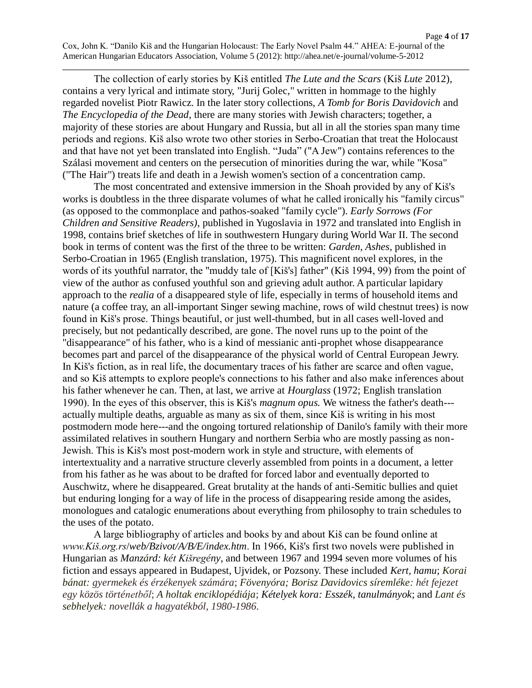Page **4** of **17** Cox, John K. "Danilo Kiš and the Hungarian Holocaust: The Early Novel Psalm 44." AHEA: E-journal of the American Hungarian Educators Association, Volume 5 (2012): http://ahea.net/e-journal/volume-5-2012

The collection of early stories by Kiš entitled *The Lute and the Scars* (Kiš *Lute* 2012), contains a very lyrical and intimate story, "Jurij Golec," written in hommage to the highly regarded novelist Piotr Rawicz. In the later story collections, *A Tomb for Boris Davidovich* and *The Encyclopedia of the Dead*, there are many stories with Jewish characters; together, a majority of these stories are about Hungary and Russia, but all in all the stories span many time periods and regions. Kiš also wrote two other stories in Serbo-Croatian that treat the Holocaust and that have not yet been translated into English. "Juda" ("A Jew") contains references to the Szálasi movement and centers on the persecution of minorities during the war, while "Kosa" ("The Hair") treats life and death in a Jewish women's section of a concentration camp.

The most concentrated and extensive immersion in the Shoah provided by any of Kiš's works is doubtless in the three disparate volumes of what he called ironically his "family circus" (as opposed to the commonplace and pathos-soaked "family cycle"). *Early Sorrows (For Children and Sensitive Readers)*, published in Yugoslavia in 1972 and translated into English in 1998, contains brief sketches of life in southwestern Hungary during World War II. The second book in terms of content was the first of the three to be written: *Garden, Ashes*, published in Serbo-Croatian in 1965 (English translation, 1975). This magnificent novel explores, in the words of its youthful narrator, the "muddy tale of [Kiš's] father" (Kiš 1994, 99) from the point of view of the author as confused youthful son and grieving adult author. A particular lapidary approach to the *realia* of a disappeared style of life, especially in terms of household items and nature (a coffee tray, an all-important Singer sewing machine, rows of wild chestnut trees) is now found in Kiš's prose. Things beautiful, or just well-thumbed, but in all cases well-loved and precisely, but not pedantically described, are gone. The novel runs up to the point of the "disappearance" of his father, who is a kind of messianic anti-prophet whose disappearance becomes part and parcel of the disappearance of the physical world of Central European Jewry. In Kiš's fiction, as in real life, the documentary traces of his father are scarce and often vague, and so Kiš attempts to explore people's connections to his father and also make inferences about his father whenever he can. Then, at last, we arrive at *Hourglass* (1972; English translation 1990). In the eyes of this observer, this is Kiš's *magnum opus.* We witness the father's death-- actually multiple deaths, arguable as many as six of them, since Kiš is writing in his most postmodern mode here---and the ongoing tortured relationship of Danilo's family with their more assimilated relatives in southern Hungary and northern Serbia who are mostly passing as non-Jewish. This is Kiš's most post-modern work in style and structure, with elements of intertextuality and a narrative structure cleverly assembled from points in a document, a letter from his father as he was about to be drafted for forced labor and eventually deported to Auschwitz, where he disappeared. Great brutality at the hands of anti-Semitic bullies and quiet but enduring longing for a way of life in the process of disappearing reside among the asides, monologues and catalogic enumerations about everything from philosophy to train schedules to the uses of the potato.

A large bibliography of articles and books by and about Kiš can be found online at *www.Kiš.org.rs*/*web/Bzivot/A/B/E/index.htm*. In 1966, Kiš's first two novels were published in Hungarian as *Manzárd: két Kišregény*, and between 1967 and 1994 seven more volumes of his fiction and essays appeared in Budapest, Ujvidek, or Pozsony. These included *Kert, hamu*; *Korai bánat: gyermekek és érzékenyek számára*; *Fövenyóra; Borisz Davidovics síremléke: hét fejezet egy közös történetből*; *A holtak enciklopédiája*; *Kételyek kora: Esszék, tanulmányok*; and *Lant és sebhelyek: novellák a hagyatékból, 1980-1986*.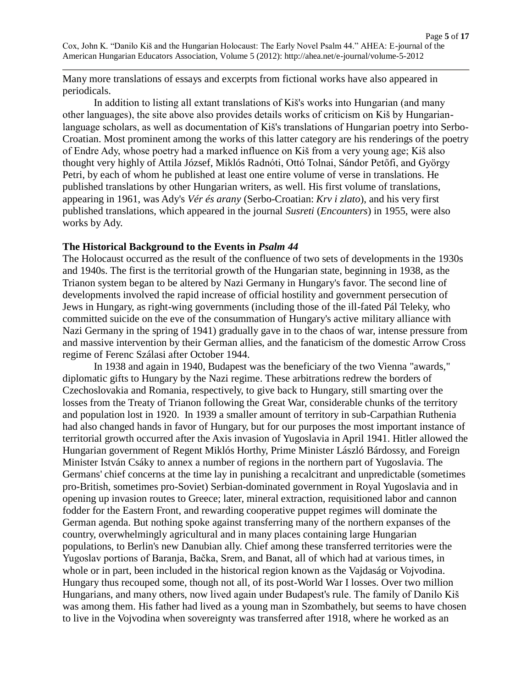Many more translations of essays and excerpts from fictional works have also appeared in periodicals.

In addition to listing all extant translations of Kiš's works into Hungarian (and many other languages), the site above also provides details works of criticism on Kiš by Hungarianlanguage scholars, as well as documentation of Kiš's translations of Hungarian poetry into Serbo-Croatian. Most prominent among the works of this latter category are his renderings of the poetry of Endre Ady, whose poetry had a marked influence on Kiš from a very young age; Kiš also thought very highly of Attila József, Miklós Radnóti, Ottó Tolnai, Sándor Petőfi, and György Petri, by each of whom he published at least one entire volume of verse in translations. He published translations by other Hungarian writers, as well. His first volume of translations, appearing in 1961, was Ady's *Vér és arany* (Serbo-Croatian: *Krv i zlato*), and his very first published translations, which appeared in the journal *Susreti* (*Encounters*) in 1955, were also works by Ady.

### **The Historical Background to the Events in** *Psalm 44*

The Holocaust occurred as the result of the confluence of two sets of developments in the 1930s and 1940s. The first is the territorial growth of the Hungarian state, beginning in 1938, as the Trianon system began to be altered by Nazi Germany in Hungary's favor. The second line of developments involved the rapid increase of official hostility and government persecution of Jews in Hungary, as right-wing governments (including those of the ill-fated Pál Teleky, who committed suicide on the eve of the consummation of Hungary's active military alliance with Nazi Germany in the spring of 1941) gradually gave in to the chaos of war, intense pressure from and massive intervention by their German allies, and the fanaticism of the domestic Arrow Cross regime of Ferenc Szálasi after October 1944.

In 1938 and again in 1940, Budapest was the beneficiary of the two Vienna "awards," diplomatic gifts to Hungary by the Nazi regime. These arbitrations redrew the borders of Czechoslovakia and Romania, respectively, to give back to Hungary, still smarting over the losses from the Treaty of Trianon following the Great War, considerable chunks of the territory and population lost in 1920. In 1939 a smaller amount of territory in sub-Carpathian Ruthenia had also changed hands in favor of Hungary, but for our purposes the most important instance of territorial growth occurred after the Axis invasion of Yugoslavia in April 1941. Hitler allowed the Hungarian government of Regent Miklós Horthy, Prime Minister László Bárdossy, and Foreign Minister István Csáky to annex a number of regions in the northern part of Yugoslavia. The Germans' chief concerns at the time lay in punishing a recalcitrant and unpredictable (sometimes pro-British, sometimes pro-Soviet) Serbian-dominated government in Royal Yugoslavia and in opening up invasion routes to Greece; later, mineral extraction, requisitioned labor and cannon fodder for the Eastern Front, and rewarding cooperative puppet regimes will dominate the German agenda. But nothing spoke against transferring many of the northern expanses of the country, overwhelmingly agricultural and in many places containing large Hungarian populations, to Berlin's new Danubian ally. Chief among these transferred territories were the Yugoslav portions of Baranja, Bačka, Srem, and Banat, all of which had at various times, in whole or in part, been included in the historical region known as the Vajdaság or Vojvodina. Hungary thus recouped some, though not all, of its post-World War I losses. Over two million Hungarians, and many others, now lived again under Budapest's rule. The family of Danilo Kiš was among them. His father had lived as a young man in Szombathely, but seems to have chosen to live in the Vojvodina when sovereignty was transferred after 1918, where he worked as an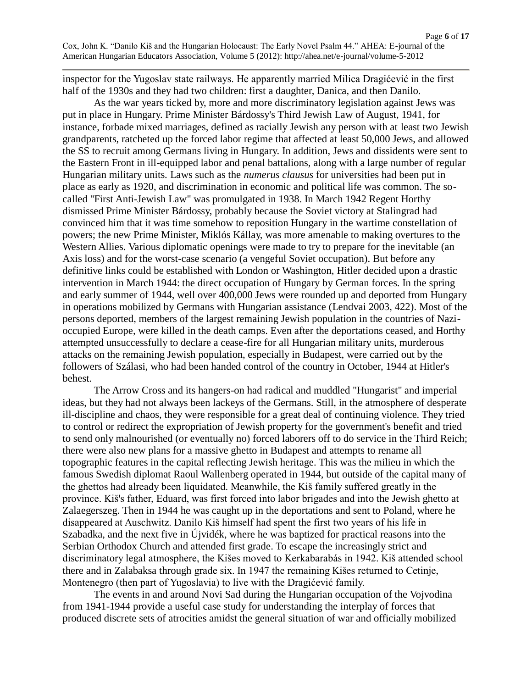inspector for the Yugoslav state railways. He apparently married Milica Dragićević in the first half of the 1930s and they had two children: first a daughter, Danica, and then Danilo.

As the war years ticked by, more and more discriminatory legislation against Jews was put in place in Hungary. Prime Minister Bárdossy's Third Jewish Law of August, 1941, for instance, forbade mixed marriages, defined as racially Jewish any person with at least two Jewish grandparents, ratcheted up the forced labor regime that affected at least 50,000 Jews, and allowed the SS to recruit among Germans living in Hungary. In addition, Jews and dissidents were sent to the Eastern Front in ill-equipped labor and penal battalions, along with a large number of regular Hungarian military units. Laws such as the *numerus clausus* for universities had been put in place as early as 1920, and discrimination in economic and political life was common. The socalled "First Anti-Jewish Law" was promulgated in 1938. In March 1942 Regent Horthy dismissed Prime Minister Bárdossy, probably because the Soviet victory at Stalingrad had convinced him that it was time somehow to reposition Hungary in the wartime constellation of powers; the new Prime Minister, Miklós Kállay, was more amenable to making overtures to the Western Allies. Various diplomatic openings were made to try to prepare for the inevitable (an Axis loss) and for the worst-case scenario (a vengeful Soviet occupation). But before any definitive links could be established with London or Washington, Hitler decided upon a drastic intervention in March 1944: the direct occupation of Hungary by German forces. In the spring and early summer of 1944, well over 400,000 Jews were rounded up and deported from Hungary in operations mobilized by Germans with Hungarian assistance (Lendvai 2003, 422). Most of the persons deported, members of the largest remaining Jewish population in the countries of Nazioccupied Europe, were killed in the death camps. Even after the deportations ceased, and Horthy attempted unsuccessfully to declare a cease-fire for all Hungarian military units, murderous attacks on the remaining Jewish population, especially in Budapest, were carried out by the followers of Szálasi, who had been handed control of the country in October, 1944 at Hitler's behest.

The Arrow Cross and its hangers-on had radical and muddled "Hungarist" and imperial ideas, but they had not always been lackeys of the Germans. Still, in the atmosphere of desperate ill-discipline and chaos, they were responsible for a great deal of continuing violence. They tried to control or redirect the expropriation of Jewish property for the government's benefit and tried to send only malnourished (or eventually no) forced laborers off to do service in the Third Reich; there were also new plans for a massive ghetto in Budapest and attempts to rename all topographic features in the capital reflecting Jewish heritage. This was the milieu in which the famous Swedish diplomat Raoul Wallenberg operated in 1944, but outside of the capital many of the ghettos had already been liquidated. Meanwhile, the Kiš family suffered greatly in the province. Kiš's father, Eduard, was first forced into labor brigades and into the Jewish ghetto at Zalaegerszeg. Then in 1944 he was caught up in the deportations and sent to Poland, where he disappeared at Auschwitz. Danilo Kiš himself had spent the first two years of his life in Szabadka, and the next five in Újvidék, where he was baptized for practical reasons into the Serbian Orthodox Church and attended first grade. To escape the increasingly strict and discriminatory legal atmosphere, the Kišes moved to Kerkabarabás in 1942. Kiš attended school there and in Zalabaksa through grade six. In 1947 the remaining Kišes returned to Cetinje, Montenegro (then part of Yugoslavia) to live with the Dragićević family.

The events in and around Novi Sad during the Hungarian occupation of the Vojvodina from 1941-1944 provide a useful case study for understanding the interplay of forces that produced discrete sets of atrocities amidst the general situation of war and officially mobilized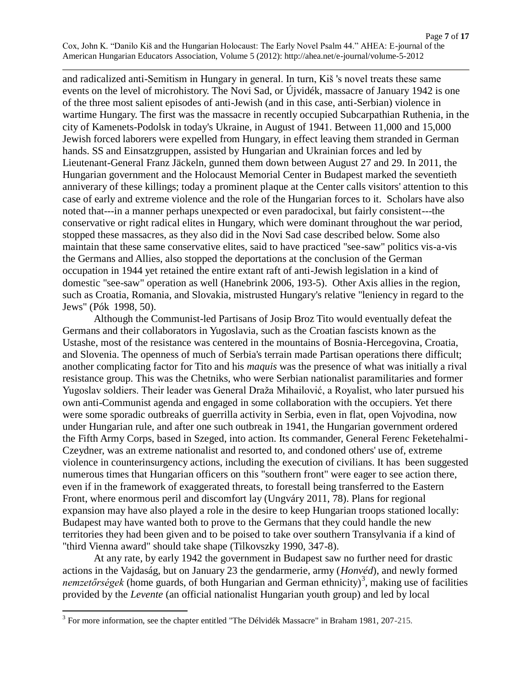and radicalized anti-Semitism in Hungary in general. In turn, Kiš 's novel treats these same events on the level of microhistory. The Novi Sad, or Újvidék, massacre of January 1942 is one of the three most salient episodes of anti-Jewish (and in this case, anti-Serbian) violence in wartime Hungary. The first was the massacre in recently occupied Subcarpathian Ruthenia, in the city of Kamenets-Podolsk in today's Ukraine, in August of 1941. Between 11,000 and 15,000 Jewish forced laborers were expelled from Hungary, in effect leaving them stranded in German hands. SS and Einsatzgruppen, assisted by Hungarian and Ukrainian forces and led by Lieutenant-General Franz Jäckeln, gunned them down between August 27 and 29. In 2011, the Hungarian government and the Holocaust Memorial Center in Budapest marked the seventieth anniverary of these killings; today a prominent plaque at the Center calls visitors' attention to this case of early and extreme violence and the role of the Hungarian forces to it. Scholars have also noted that---in a manner perhaps unexpected or even paradocixal, but fairly consistent---the conservative or right radical elites in Hungary, which were dominant throughout the war period, stopped these massacres, as they also did in the Novi Sad case described below. Some also maintain that these same conservative elites, said to have practiced "see-saw" politics vis-a-vis the Germans and Allies, also stopped the deportations at the conclusion of the German occupation in 1944 yet retained the entire extant raft of anti-Jewish legislation in a kind of domestic "see-saw" operation as well (Hanebrink 2006, 193-5). Other Axis allies in the region, such as Croatia, Romania, and Slovakia, mistrusted Hungary's relative "leniency in regard to the Jews" (Pók 1998, 50).

Although the Communist-led Partisans of Josip Broz Tito would eventually defeat the Germans and their collaborators in Yugoslavia, such as the Croatian fascists known as the Ustashe, most of the resistance was centered in the mountains of Bosnia-Hercegovina, Croatia, and Slovenia. The openness of much of Serbia's terrain made Partisan operations there difficult; another complicating factor for Tito and his *maquis* was the presence of what was initially a rival resistance group. This was the Chetniks, who were Serbian nationalist paramilitaries and former Yugoslav soldiers. Their leader was General Draža Mihailović, a Royalist, who later pursued his own anti-Communist agenda and engaged in some collaboration with the occupiers. Yet there were some sporadic outbreaks of guerrilla activity in Serbia, even in flat, open Vojvodina, now under Hungarian rule, and after one such outbreak in 1941, the Hungarian government ordered the Fifth Army Corps, based in Szeged, into action. Its commander, General Ferenc Feketehalmi-Czeydner, was an extreme nationalist and resorted to, and condoned others' use of, extreme violence in counterinsurgency actions, including the execution of civilians. It has been suggested numerous times that Hungarian officers on this "southern front" were eager to see action there, even if in the framework of exaggerated threats, to forestall being transferred to the Eastern Front, where enormous peril and discomfort lay (Ungváry 2011, 78). Plans for regional expansion may have also played a role in the desire to keep Hungarian troops stationed locally: Budapest may have wanted both to prove to the Germans that they could handle the new territories they had been given and to be poised to take over southern Transylvania if a kind of "third Vienna award" should take shape (Tilkovszky 1990, 347-8).

At any rate, by early 1942 the government in Budapest saw no further need for drastic actions in the Vajdaság, but on January 23 the gendarmerie, army (*Honvéd*), and newly formed nemzetőrségek (home guards, of both Hungarian and German ethnicity)<sup>3</sup>, making use of facilities provided by the *Levente* (an official nationalist Hungarian youth group) and led by local

<sup>&</sup>lt;sup>3</sup> For more information, see the chapter entitled "The Délvidék Massacre" in Braham 1981, 207-215.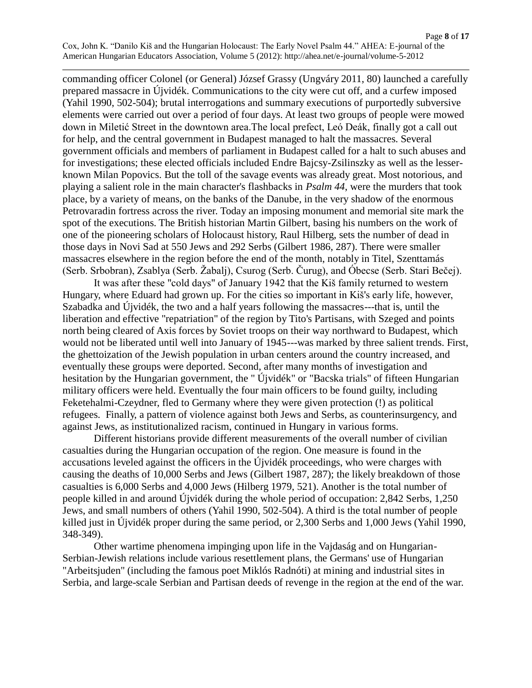commanding officer Colonel (or General) József Grassy (Ungváry 2011, 80) launched a carefully prepared massacre in Újvidék. Communications to the city were cut off, and a curfew imposed (Yahil 1990, 502-504); brutal interrogations and summary executions of purportedly subversive elements were carried out over a period of four days. At least two groups of people were mowed down in Miletić Street in the downtown area.The local prefect, Leó Deák, finally got a call out for help, and the central government in Budapest managed to halt the massacres. Several government officials and members of parliament in Budapest called for a halt to such abuses and for investigations; these elected officials included Endre Bajcsy-Zsilinszky as well as the lesserknown Milan Popovics. But the toll of the savage events was already great. Most notorious, and playing a salient role in the main character's flashbacks in *Psalm 44*, were the murders that took place, by a variety of means, on the banks of the Danube, in the very shadow of the enormous Petrovaradin fortress across the river. Today an imposing monument and memorial site mark the spot of the executions. The British historian Martin Gilbert, basing his numbers on the work of one of the pioneering scholars of Holocaust history, Raul Hilberg, sets the number of dead in those days in Novi Sad at 550 Jews and 292 Serbs (Gilbert 1986, 287). There were smaller massacres elsewhere in the region before the end of the month, notably in Titel, Szenttamás (Serb. Srbobran), Zsablya (Serb. Žabalj), Csurog (Serb. Čurug), and Óbecse (Serb. Stari Bečej).

It was after these "cold days" of January 1942 that the Kiš family returned to western Hungary, where Eduard had grown up. For the cities so important in Kiš's early life, however, Szabadka and Újvidék, the two and a half years following the massacres---that is, until the liberation and effective "repatriation" of the region by Tito's Partisans, with Szeged and points north being cleared of Axis forces by Soviet troops on their way northward to Budapest, which would not be liberated until well into January of 1945---was marked by three salient trends. First, the ghettoization of the Jewish population in urban centers around the country increased, and eventually these groups were deported. Second, after many months of investigation and hesitation by the Hungarian government, the " Újvidék" or "Bacska trials" of fifteen Hungarian military officers were held. Eventually the four main officers to be found guilty, including Feketehalmi-Czeydner, fled to Germany where they were given protection (!) as political refugees. Finally, a pattern of violence against both Jews and Serbs, as counterinsurgency, and against Jews, as institutionalized racism, continued in Hungary in various forms.

Different historians provide different measurements of the overall number of civilian casualties during the Hungarian occupation of the region. One measure is found in the accusations leveled against the officers in the Újvidék proceedings, who were charges with causing the deaths of 10,000 Serbs and Jews (Gilbert 1987, 287); the likely breakdown of those casualties is 6,000 Serbs and 4,000 Jews (Hilberg 1979, 521). Another is the total number of people killed in and around Újvidék during the whole period of occupation: 2,842 Serbs, 1,250 Jews, and small numbers of others (Yahil 1990, 502-504). A third is the total number of people killed just in Újvidék proper during the same period, or 2,300 Serbs and 1,000 Jews (Yahil 1990, 348-349).

Other wartime phenomena impinging upon life in the Vajdaság and on Hungarian-Serbian-Jewish relations include various resettlement plans, the Germans' use of Hungarian "Arbeitsjuden" (including the famous poet Miklós Radnóti) at mining and industrial sites in Serbia, and large-scale Serbian and Partisan deeds of revenge in the region at the end of the war.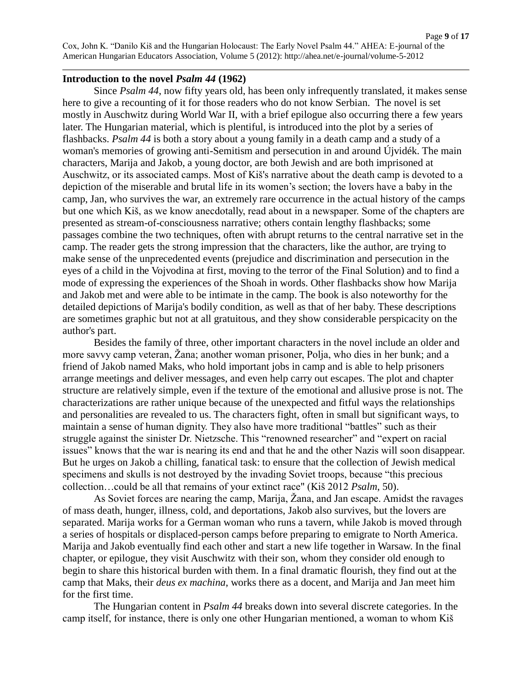#### **Introduction to the novel** *Psalm 44* **(1962)**

Since *Psalm 44*, now fifty years old, has been only infrequently translated, it makes sense here to give a recounting of it for those readers who do not know Serbian. The novel is set mostly in Auschwitz during World War II, with a brief epilogue also occurring there a few years later. The Hungarian material, which is plentiful, is introduced into the plot by a series of flashbacks. *Psalm 44* is both a story about a young family in a death camp and a study of a woman's memories of growing anti-Semitism and persecution in and around Újvidék. The main characters, Marija and Jakob, a young doctor, are both Jewish and are both imprisoned at Auschwitz, or its associated camps. Most of Kiš's narrative about the death camp is devoted to a depiction of the miserable and brutal life in its women's section; the lovers have a baby in the camp, Jan, who survives the war, an extremely rare occurrence in the actual history of the camps but one which Kiš, as we know anecdotally, read about in a newspaper. Some of the chapters are presented as stream-of-consciousness narrative; others contain lengthy flashbacks; some passages combine the two techniques, often with abrupt returns to the central narrative set in the camp. The reader gets the strong impression that the characters, like the author, are trying to make sense of the unprecedented events (prejudice and discrimination and persecution in the eyes of a child in the Vojvodina at first, moving to the terror of the Final Solution) and to find a mode of expressing the experiences of the Shoah in words. Other flashbacks show how Marija and Jakob met and were able to be intimate in the camp. The book is also noteworthy for the detailed depictions of Marija's bodily condition, as well as that of her baby. These descriptions are sometimes graphic but not at all gratuitous, and they show considerable perspicacity on the author's part.

Besides the family of three, other important characters in the novel include an older and more savvy camp veteran, Žana; another woman prisoner, Polja, who dies in her bunk; and a friend of Jakob named Maks, who hold important jobs in camp and is able to help prisoners arrange meetings and deliver messages, and even help carry out escapes. The plot and chapter structure are relatively simple, even if the texture of the emotional and allusive prose is not. The characterizations are rather unique because of the unexpected and fitful ways the relationships and personalities are revealed to us. The characters fight, often in small but significant ways, to maintain a sense of human dignity. They also have more traditional "battles" such as their struggle against the sinister Dr. Nietzsche. This "renowned researcher" and "expert on racial issues" knows that the war is nearing its end and that he and the other Nazis will soon disappear. But he urges on Jakob a chilling, fanatical task: to ensure that the collection of Jewish medical specimens and skulls is not destroyed by the invading Soviet troops, because "this precious collection…could be all that remains of your extinct race" (Kiš 2012 *Psalm*, 50).

As Soviet forces are nearing the camp, Marija, Žana, and Jan escape. Amidst the ravages of mass death, hunger, illness, cold, and deportations, Jakob also survives, but the lovers are separated. Marija works for a German woman who runs a tavern, while Jakob is moved through a series of hospitals or displaced-person camps before preparing to emigrate to North America. Marija and Jakob eventually find each other and start a new life together in Warsaw. In the final chapter, or epilogue, they visit Auschwitz with their son, whom they consider old enough to begin to share this historical burden with them. In a final dramatic flourish, they find out at the camp that Maks, their *deus ex machina*, works there as a docent, and Marija and Jan meet him for the first time.

The Hungarian content in *Psalm 44* breaks down into several discrete categories. In the camp itself, for instance, there is only one other Hungarian mentioned, a woman to whom Kiš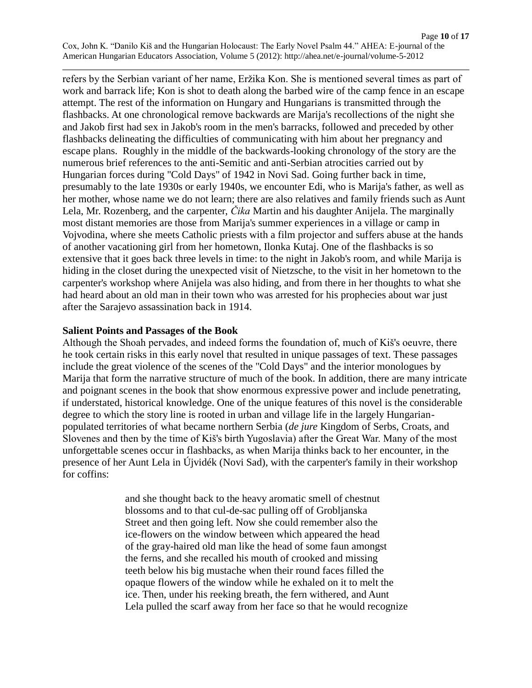refers by the Serbian variant of her name, Eržika Kon. She is mentioned several times as part of work and barrack life; Kon is shot to death along the barbed wire of the camp fence in an escape attempt. The rest of the information on Hungary and Hungarians is transmitted through the flashbacks. At one chronological remove backwards are Marija's recollections of the night she and Jakob first had sex in Jakob's room in the men's barracks, followed and preceded by other flashbacks delineating the difficulties of communicating with him about her pregnancy and escape plans. Roughly in the middle of the backwards-looking chronology of the story are the numerous brief references to the anti-Semitic and anti-Serbian atrocities carried out by Hungarian forces during "Cold Days" of 1942 in Novi Sad. Going further back in time, presumably to the late 1930s or early 1940s, we encounter Edi, who is Marija's father, as well as her mother, whose name we do not learn; there are also relatives and family friends such as Aunt Lela, Mr. Rozenberg, and the carpenter, *Čika* Martin and his daughter Anijela. The marginally most distant memories are those from Marija's summer experiences in a village or camp in Vojvodina, where she meets Catholic priests with a film projector and suffers abuse at the hands of another vacationing girl from her hometown, Ilonka Kutaj. One of the flashbacks is so extensive that it goes back three levels in time: to the night in Jakob's room, and while Marija is hiding in the closet during the unexpected visit of Nietzsche, to the visit in her hometown to the carpenter's workshop where Anijela was also hiding, and from there in her thoughts to what she had heard about an old man in their town who was arrested for his prophecies about war just after the Sarajevo assassination back in 1914.

### **Salient Points and Passages of the Book**

Although the Shoah pervades, and indeed forms the foundation of, much of Kiš's oeuvre, there he took certain risks in this early novel that resulted in unique passages of text. These passages include the great violence of the scenes of the "Cold Days" and the interior monologues by Marija that form the narrative structure of much of the book. In addition, there are many intricate and poignant scenes in the book that show enormous expressive power and include penetrating, if understated, historical knowledge. One of the unique features of this novel is the considerable degree to which the story line is rooted in urban and village life in the largely Hungarianpopulated territories of what became northern Serbia (*de jure* Kingdom of Serbs, Croats, and Slovenes and then by the time of Kiš's birth Yugoslavia) after the Great War. Many of the most unforgettable scenes occur in flashbacks, as when Marija thinks back to her encounter, in the presence of her Aunt Lela in Újvidék (Novi Sad), with the carpenter's family in their workshop for coffins:

> and she thought back to the heavy aromatic smell of chestnut blossoms and to that cul-de-sac pulling off of Grobljanska Street and then going left. Now she could remember also the ice-flowers on the window between which appeared the head of the gray-haired old man like the head of some faun amongst the ferns, and she recalled his mouth of crooked and missing teeth below his big mustache when their round faces filled the opaque flowers of the window while he exhaled on it to melt the ice. Then, under his reeking breath, the fern withered, and Aunt Lela pulled the scarf away from her face so that he would recognize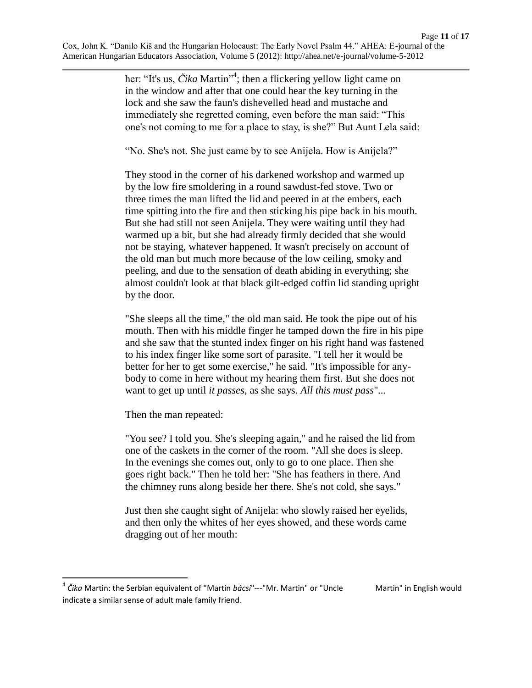her: "It's us, *Čika* Martin"<sup>4</sup>; then a flickering yellow light came on in the window and after that one could hear the key turning in the lock and she saw the faun's dishevelled head and mustache and immediately she regretted coming, even before the man said: "This one's not coming to me for a place to stay, is she?" But Aunt Lela said:

"No. She's not. She just came by to see Anijela. How is Anijela?"

They stood in the corner of his darkened workshop and warmed up by the low fire smoldering in a round sawdust-fed stove. Two or three times the man lifted the lid and peered in at the embers, each time spitting into the fire and then sticking his pipe back in his mouth. But she had still not seen Anijela. They were waiting until they had warmed up a bit, but she had already firmly decided that she would not be staying, whatever happened. It wasn't precisely on account of the old man but much more because of the low ceiling, smoky and peeling, and due to the sensation of death abiding in everything; she almost couldn't look at that black gilt-edged coffin lid standing upright by the door.

"She sleeps all the time," the old man said. He took the pipe out of his mouth. Then with his middle finger he tamped down the fire in his pipe and she saw that the stunted index finger on his right hand was fastened to his index finger like some sort of parasite. "I tell her it would be better for her to get some exercise," he said. "It's impossible for anybody to come in here without my hearing them first. But she does not want to get up until *it passes*, as she says. *All this must pass*"...

Then the man repeated:

 $\overline{a}$ 

"You see? I told you. She's sleeping again," and he raised the lid from one of the caskets in the corner of the room. "All she does is sleep. In the evenings she comes out, only to go to one place. Then she goes right back." Then he told her: "She has feathers in there. And the chimney runs along beside her there. She's not cold, she says."

Just then she caught sight of Anijela: who slowly raised her eyelids, and then only the whites of her eyes showed, and these words came dragging out of her mouth:

<sup>&</sup>lt;sup>4</sup> Čika Martin: the Serbian equivalent of "Martin *bácsi*"---"Mr. Martin" or "Uncle Martin" in English would indicate a similar sense of adult male family friend.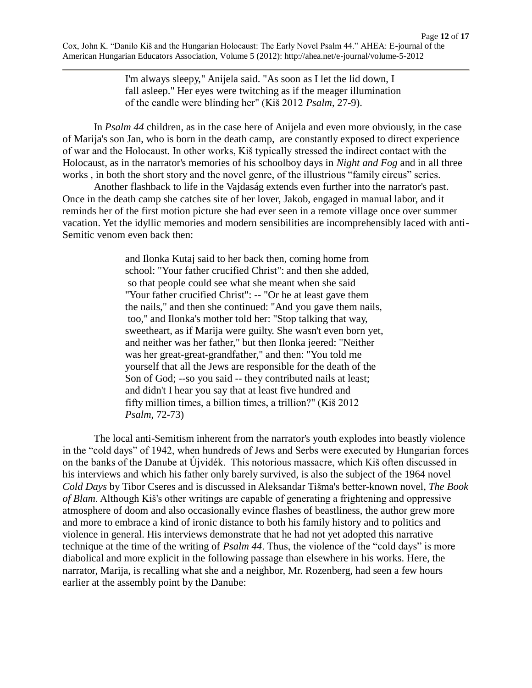I'm always sleepy," Anijela said. "As soon as I let the lid down, I fall asleep." Her eyes were twitching as if the meager illumination of the candle were blinding her" (Kiš 2012 *Psalm*, 27-9).

In *Psalm 44* children, as in the case here of Anijela and even more obviously, in the case of Marija's son Jan, who is born in the death camp, are constantly exposed to direct experience of war and the Holocaust. In other works, Kiš typically stressed the indirect contact with the Holocaust, as in the narrator's memories of his schoolboy days in *Night and Fog* and in all three works , in both the short story and the novel genre, of the illustrious "family circus" series.

Another flashback to life in the Vajdaság extends even further into the narrator's past. Once in the death camp she catches site of her lover, Jakob, engaged in manual labor, and it reminds her of the first motion picture she had ever seen in a remote village once over summer vacation. Yet the idyllic memories and modern sensibilities are incomprehensibly laced with anti-Semitic venom even back then:

> and Ilonka Kutaj said to her back then, coming home from school: "Your father crucified Christ": and then she added, so that people could see what she meant when she said "Your father crucified Christ": -- "Or he at least gave them the nails," and then she continued: "And you gave them nails, too," and Ilonka's mother told her: "Stop talking that way, sweetheart, as if Marija were guilty. She wasn't even born yet, and neither was her father," but then Ilonka jeered: "Neither was her great-great-grandfather," and then: "You told me yourself that all the Jews are responsible for the death of the Son of God; --so you said -- they contributed nails at least; and didn't I hear you say that at least five hundred and fifty million times, a billion times, a trillion?" (Kiš 2012 *Psalm*, 72-73)

The local anti-Semitism inherent from the narrator's youth explodes into beastly violence in the "cold days" of 1942, when hundreds of Jews and Serbs were executed by Hungarian forces on the banks of the Danube at Újvidék. This notorious massacre, which Kiš often discussed in his interviews and which his father only barely survived, is also the subject of the 1964 novel *Cold Days* by Tibor Cseres and is discussed in Aleksandar Tišma's better-known novel, *The Book of Blam*. Although Kiš's other writings are capable of generating a frightening and oppressive atmosphere of doom and also occasionally evince flashes of beastliness, the author grew more and more to embrace a kind of ironic distance to both his family history and to politics and violence in general. His interviews demonstrate that he had not yet adopted this narrative technique at the time of the writing of *Psalm 44*. Thus, the violence of the "cold days" is more diabolical and more explicit in the following passage than elsewhere in his works. Here, the narrator, Marija, is recalling what she and a neighbor, Mr. Rozenberg, had seen a few hours earlier at the assembly point by the Danube: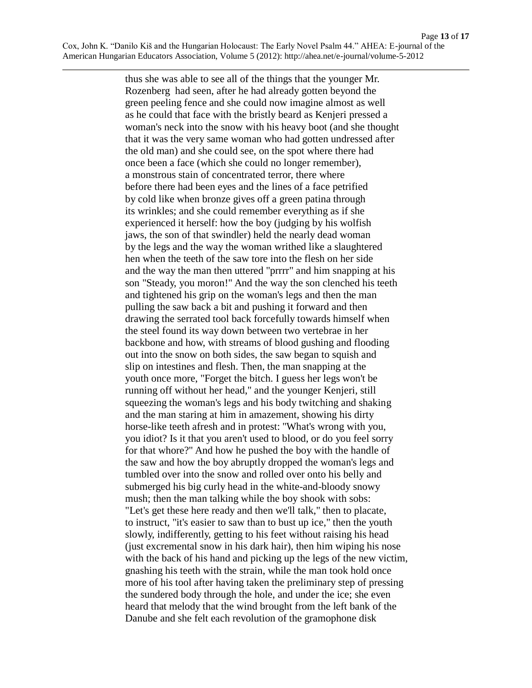thus she was able to see all of the things that the younger Mr. Rozenberg had seen, after he had already gotten beyond the green peeling fence and she could now imagine almost as well as he could that face with the bristly beard as Kenjeri pressed a woman's neck into the snow with his heavy boot (and she thought that it was the very same woman who had gotten undressed after the old man) and she could see, on the spot where there had once been a face (which she could no longer remember), a monstrous stain of concentrated terror, there where before there had been eyes and the lines of a face petrified by cold like when bronze gives off a green patina through its wrinkles; and she could remember everything as if she experienced it herself: how the boy (judging by his wolfish jaws, the son of that swindler) held the nearly dead woman by the legs and the way the woman writhed like a slaughtered hen when the teeth of the saw tore into the flesh on her side and the way the man then uttered "prrrr" and him snapping at his son "Steady, you moron!" And the way the son clenched his teeth and tightened his grip on the woman's legs and then the man pulling the saw back a bit and pushing it forward and then drawing the serrated tool back forcefully towards himself when the steel found its way down between two vertebrae in her backbone and how, with streams of blood gushing and flooding out into the snow on both sides, the saw began to squish and slip on intestines and flesh. Then, the man snapping at the youth once more, "Forget the bitch. I guess her legs won't be running off without her head," and the younger Kenjeri, still squeezing the woman's legs and his body twitching and shaking and the man staring at him in amazement, showing his dirty horse-like teeth afresh and in protest: "What's wrong with you, you idiot? Is it that you aren't used to blood, or do you feel sorry for that whore?" And how he pushed the boy with the handle of the saw and how the boy abruptly dropped the woman's legs and tumbled over into the snow and rolled over onto his belly and submerged his big curly head in the white-and-bloody snowy mush; then the man talking while the boy shook with sobs: "Let's get these here ready and then we'll talk," then to placate, to instruct, "it's easier to saw than to bust up ice," then the youth slowly, indifferently, getting to his feet without raising his head (just excremental snow in his dark hair), then him wiping his nose with the back of his hand and picking up the legs of the new victim, gnashing his teeth with the strain, while the man took hold once more of his tool after having taken the preliminary step of pressing the sundered body through the hole, and under the ice; she even heard that melody that the wind brought from the left bank of the Danube and she felt each revolution of the gramophone disk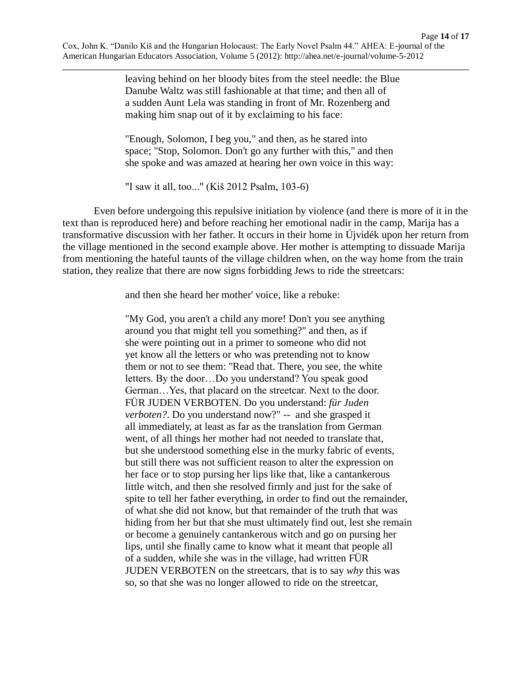leaving behind on her bloody bites from the steel needle: the Blue Danube Waltz was still fashionable at that time; and then all of a sudden Aunt Lela was standing in front of Mr. Rozenberg and making him snap out of it by exclaiming to his face:

"Enough, Solomon, I beg you," and then, as he stared into space; "Stop, Solomon. Don't go any further with this," and then she spoke and was amazed at hearing her own voice in this way:

"I saw it all, too..." (Kiš 2012 Psalm, 103-6)

Even before undergoing this repulsive initiation by violence (and there is more of it in the text than is reproduced here) and before reaching her emotional nadir in the camp, Marija has a transformative discussion with her father. It occurs in their home in Újvidék upon her return from the village mentioned in the second example above. Her mother is attempting to dissuade Marija from mentioning the hateful taunts of the village children when, on the way home from the train station, they realize that there are now signs forbidding Jews to ride the streetcars:

and then she heard her mother' voice, like a rebuke:

"My God, you aren't a child any more! Don't you see anything around you that might tell you something?" and then, as if she were pointing out in a primer to someone who did not yet know all the letters or who was pretending not to know them or not to see them: "Read that. There, you see, the white letters. By the door…Do you understand? You speak good German…Yes, that placard on the streetcar. Next to the door. FÜR JUDEN VERBOTEN. Do you understand: *für Juden verboten?*. Do you understand now?" -- and she grasped it all immediately, at least as far as the translation from German went, of all things her mother had not needed to translate that, but she understood something else in the murky fabric of events, but still there was not sufficient reason to alter the expression on her face or to stop pursing her lips like that, like a cantankerous little witch, and then she resolved firmly and just for the sake of spite to tell her father everything, in order to find out the remainder, of what she did not know, but that remainder of the truth that was hiding from her but that she must ultimately find out, lest she remain or become a genuinely cantankerous witch and go on pursing her lips, until she finally came to know what it meant that people all of a sudden, while she was in the village, had written FÜR JUDEN VERBOTEN on the streetcars, that is to say *why* this was so, so that she was no longer allowed to ride on the streetcar,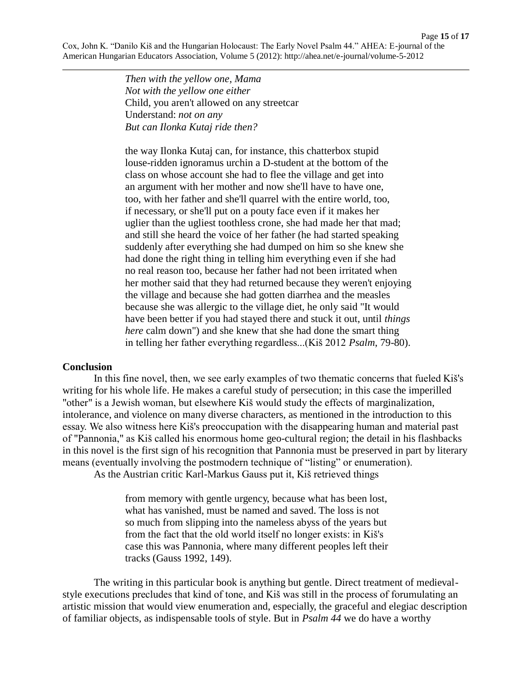Page **15** of **17** Cox, John K. "Danilo Kiš and the Hungarian Holocaust: The Early Novel Psalm 44." AHEA: E-journal of the American Hungarian Educators Association, Volume 5 (2012): http://ahea.net/e-journal/volume-5-2012

> *Then with the yellow one, Mama Not with the yellow one either* Child, you aren't allowed on any streetcar Understand: *not on any But can Ilonka Kutaj ride then?*

the way Ilonka Kutaj can, for instance, this chatterbox stupid louse-ridden ignoramus urchin a D-student at the bottom of the class on whose account she had to flee the village and get into an argument with her mother and now she'll have to have one, too, with her father and she'll quarrel with the entire world, too, if necessary, or she'll put on a pouty face even if it makes her uglier than the ugliest toothless crone, she had made her that mad; and still she heard the voice of her father (he had started speaking suddenly after everything she had dumped on him so she knew she had done the right thing in telling him everything even if she had no real reason too, because her father had not been irritated when her mother said that they had returned because they weren't enjoying the village and because she had gotten diarrhea and the measles because she was allergic to the village diet, he only said "It would have been better if you had stayed there and stuck it out, until *things here* calm down") and she knew that she had done the smart thing in telling her father everything regardless...(Kiš 2012 *Psalm*, 79-80).

#### **Conclusion**

In this fine novel, then, we see early examples of two thematic concerns that fueled Kiš's writing for his whole life. He makes a careful study of persecution; in this case the imperilled "other" is a Jewish woman, but elsewhere Kiš would study the effects of marginalization, intolerance, and violence on many diverse characters, as mentioned in the introduction to this essay. We also witness here Kiš's preoccupation with the disappearing human and material past of "Pannonia," as Kiš called his enormous home geo-cultural region; the detail in his flashbacks in this novel is the first sign of his recognition that Pannonia must be preserved in part by literary means (eventually involving the postmodern technique of "listing" or enumeration).

As the Austrian critic Karl-Markus Gauss put it, Kiš retrieved things

from memory with gentle urgency, because what has been lost, what has vanished, must be named and saved. The loss is not so much from slipping into the nameless abyss of the years but from the fact that the old world itself no longer exists: in Kiš's case this was Pannonia, where many different peoples left their tracks (Gauss 1992, 149).

The writing in this particular book is anything but gentle. Direct treatment of medievalstyle executions precludes that kind of tone, and Kiš was still in the process of forumulating an artistic mission that would view enumeration and, especially, the graceful and elegiac description of familiar objects, as indispensable tools of style. But in *Psalm 44* we do have a worthy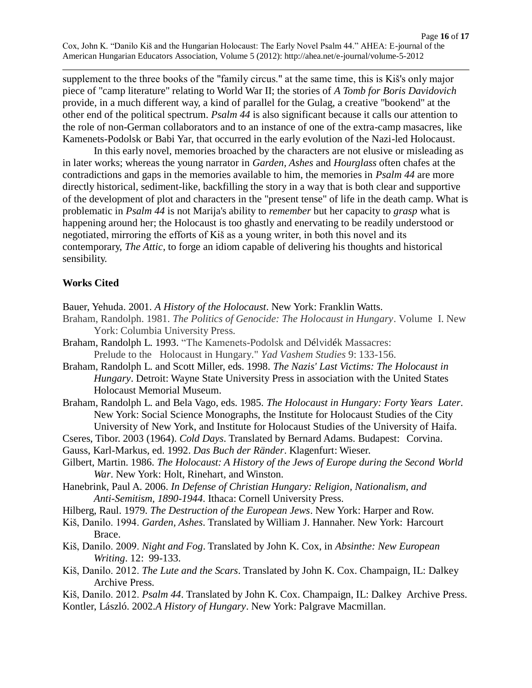supplement to the three books of the "family circus." at the same time, this is Kiš's only major piece of "camp literature" relating to World War II; the stories of *A Tomb for Boris Davidovich* provide, in a much different way, a kind of parallel for the Gulag, a creative "bookend" at the other end of the political spectrum. *Psalm 44* is also significant because it calls our attention to the role of non-German collaborators and to an instance of one of the extra-camp masacres, like Kamenets-Podolsk or Babi Yar, that occurred in the early evolution of the Nazi-led Holocaust.

In this early novel, memories broached by the characters are not elusive or misleading as in later works; whereas the young narrator in *Garden, Ashes* and *Hourglass* often chafes at the contradictions and gaps in the memories available to him, the memories in *Psalm 44* are more directly historical, sediment-like, backfilling the story in a way that is both clear and supportive of the development of plot and characters in the "present tense" of life in the death camp. What is problematic in *Psalm 44* is not Marija's ability to *remember* but her capacity to *grasp* what is happening around her; the Holocaust is too ghastly and enervating to be readily understood or negotiated, mirroring the efforts of Kiš as a young writer, in both this novel and its contemporary, *The Attic*, to forge an idiom capable of delivering his thoughts and historical sensibility.

# **Works Cited**

Bauer, Yehuda. 2001. *A History of the Holocaust*. New York: Franklin Watts.

- Braham, Randolph. 1981. *The Politics of Genocide: The Holocaust in Hungary*. Volume I. New York: Columbia University Press.
- Braham, Randolph L. 1993. "The Kamenets-Podolsk and Délvidék Massacres: Prelude to the Holocaust in Hungary." *Yad Vashem Studies* 9: 133-156.
- Braham, Randolph L. and Scott Miller, eds. 1998. *The Nazis' Last Victims: The Holocaust in Hungary*. Detroit: Wayne State University Press in association with the United States Holocaust Memorial Museum.
- Braham, Randolph L. and Bela Vago, eds. 1985. *The Holocaust in Hungary: Forty Years Later*. New York: Social Science Monographs, the Institute for Holocaust Studies of the City University of New York, and Institute for Holocaust Studies of the University of Haifa.
- Cseres, Tibor. 2003 (1964). *Cold Days*. Translated by Bernard Adams. Budapest: Corvina.
- Gauss, Karl-Markus, ed. 1992. *Das Buch der Ränder*. Klagenfurt: Wieser.
- Gilbert, Martin. 1986. *The Holocaust: A History of the Jews of Europe during the Second World War*. New York: Holt, Rinehart, and Winston.
- Hanebrink, Paul A. 2006. *In Defense of Christian Hungary: Religion, Nationalism, and Anti-Semitism, 1890-1944*. Ithaca: Cornell University Press.
- Hilberg, Raul. 1979. *The Destruction of the European Jews*. New York: Harper and Row.
- Kiš, Danilo. 1994. *Garden, Ashes*. Translated by William J. Hannaher. New York: Harcourt Brace.
- Kiš, Danilo. 2009. *Night and Fog*. Translated by John K. Cox, in *Absinthe: New European Writing*. 12: 99-133.
- Kiš, Danilo. 2012. *The Lute and the Scars*. Translated by John K. Cox. Champaign, IL: Dalkey Archive Press.
- Kiš, Danilo. 2012. *Psalm 44*. Translated by John K. Cox. Champaign, IL: Dalkey Archive Press.
- Kontler, László. 2002.*A History of Hungary*. New York: Palgrave Macmillan.